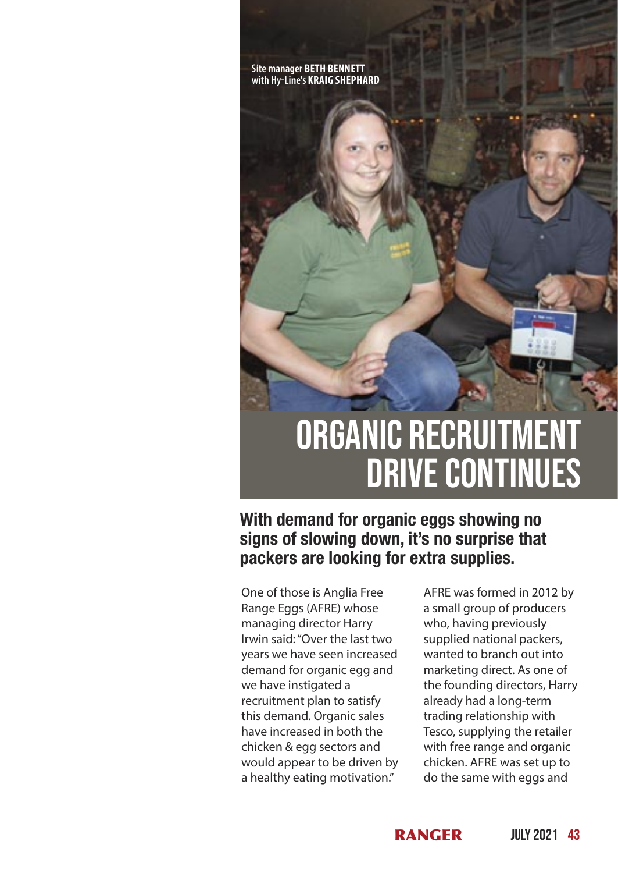**Site manager BETH BENNETT with Hy-Line's KRAIG SHEPHARD**



## ORGANIC RECRUITMENT drive continues

**With demand for organic eggs showing no signs of slowing down, it's no surprise that packers are looking for extra supplies.**

One of those is Anglia Free Range Eggs (AFRE) whose managing director Harry Irwin said: "Over the last two years we have seen increased demand for organic egg and we have instigated a recruitment plan to satisfy this demand. Organic sales have increased in both the chicken & egg sectors and would appear to be driven by a healthy eating motivation."

AFRE was formed in 2012 by a small group of producers who, having previously supplied national packers, wanted to branch out into marketing direct. As one of the founding directors, Harry already had a long-term trading relationship with Tesco, supplying the retailer with free range and organic chicken. AFRE was set up to do the same with eggs and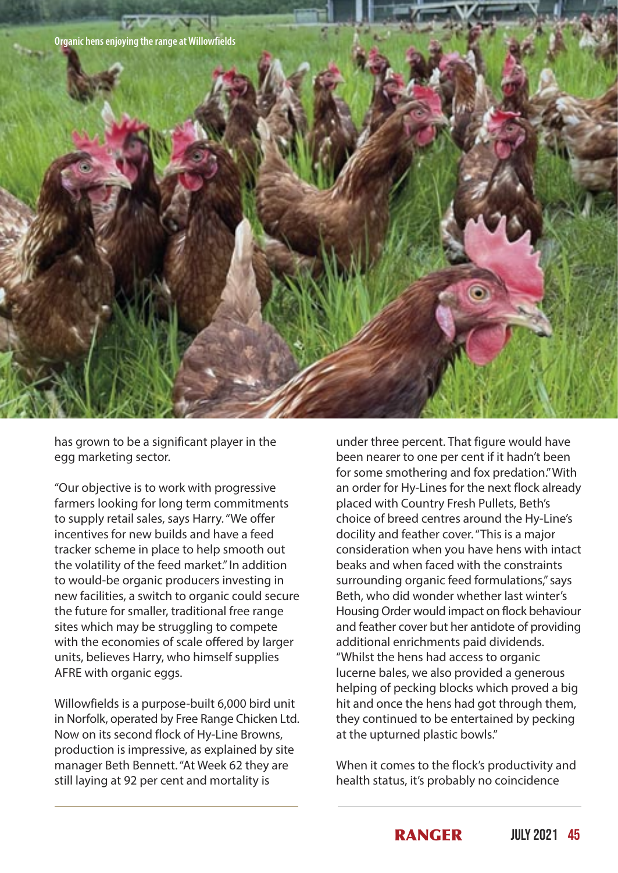

has grown to be a significant player in the egg marketing sector.

"Our objective is to work with progressive farmers looking for long term commitments to supply retail sales, says Harry. "We offer incentives for new builds and have a feed tracker scheme in place to help smooth out the volatility of the feed market." In addition to would-be organic producers investing in new facilities, a switch to organic could secure the future for smaller, traditional free range sites which may be struggling to compete with the economies of scale offered by larger units, believes Harry, who himself supplies AFRE with organic eggs.

Willowfields is a purpose-built 6,000 bird unit in Norfolk, operated by Free Range Chicken Ltd. Now on its second flock of Hy-Line Browns, production is impressive, as explained by site manager Beth Bennett. "At Week 62 they are still laying at 92 per cent and mortality is

under three percent. That figure would have been nearer to one per cent if it hadn't been for some smothering and fox predation." With an order for Hy-Lines for the next flock already placed with Country Fresh Pullets, Beth's choice of breed centres around the Hy-Line's docility and feather cover. "This is a major consideration when you have hens with intact beaks and when faced with the constraints surrounding organic feed formulations," says Beth, who did wonder whether last winter's Housing Order would impact on flock behaviour and feather cover but her antidote of providing additional enrichments paid dividends. "Whilst the hens had access to organic lucerne bales, we also provided a generous helping of pecking blocks which proved a big hit and once the hens had got through them, they continued to be entertained by pecking at the upturned plastic bowls."

When it comes to the flock's productivity and health status, it's probably no coincidence